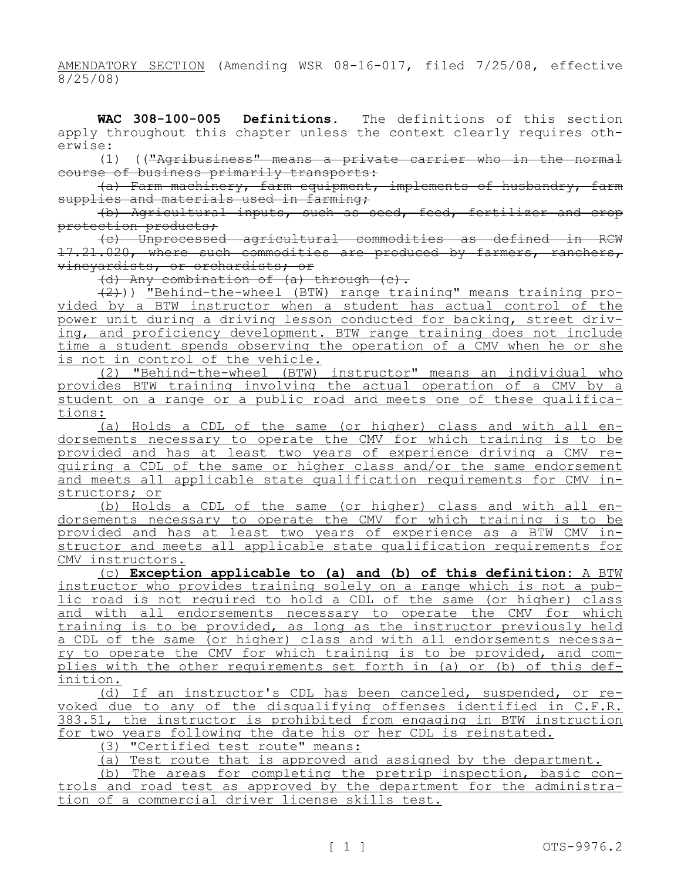AMENDATORY SECTION (Amending WSR 08-16-017, filed 7/25/08, effective 8/25/08)

**WAC 308-100-005 Definitions.** The definitions of this section apply throughout this chapter unless the context clearly requires otherwise:

(1) (("Agribusiness" means a private carrier who in the normal course of business primarily transports:

(a) Farm machinery, farm equipment, implements of husbandry, farm supplies and materials used in farming;

(b) Agricultural inputs, such as seed, feed, fertilizer and crop protection products;

(c) Unprocessed agricultural commodities as defined in RCW 17.21.020, where such commodities are produced by farmers, ranchers, vineyardists, or orchardists; or

(d) Any combination of (a) through (c).

(2))) "Behind-the-wheel (BTW) range training" means training provided by a BTW instructor when a student has actual control of the power unit during a driving lesson conducted for backing, street driving, and proficiency development. BTW range training does not include time a student spends observing the operation of a CMV when he or she is not in control of the vehicle.

(2) "Behind-the-wheel (BTW) instructor" means an individual who provides BTW training involving the actual operation of a CMV by a student on a range or a public road and meets one of these qualifications:

(a) Holds a CDL of the same (or higher) class and with all endorsements necessary to operate the CMV for which training is to be provided and has at least two years of experience driving a CMV requiring a CDL of the same or higher class and/or the same endorsement and meets all applicable state qualification requirements for CMV instructors; or

(b) Holds a CDL of the same (or higher) class and with all endorsements necessary to operate the CMV for which training is to be provided and has at least two years of experience as a BTW CMV instructor and meets all applicable state qualification requirements for CMV instructors.

(c) **Exception applicable to (a) and (b) of this definition:** A BTW instructor who provides training solely on a range which is not a public road is not required to hold a CDL of the same (or higher) class and with all endorsements necessary to operate the CMV for which training is to be provided, as long as the instructor previously held a CDL of the same (or higher) class and with all endorsements necessary to operate the CMV for which training is to be provided, and complies with the other requirements set forth in (a) or (b) of this definition.

(d) If an instructor's CDL has been canceled, suspended, or revoked due to any of the disqualifying offenses identified in C.F.R. 383.51, the instructor is prohibited from engaging in BTW instruction for two years following the date his or her CDL is reinstated.

(3) "Certified test route" means:

(a) Test route that is approved and assigned by the department.

(b) The areas for completing the pretrip inspection, basic controls and road test as approved by the department for the administration of a commercial driver license skills test.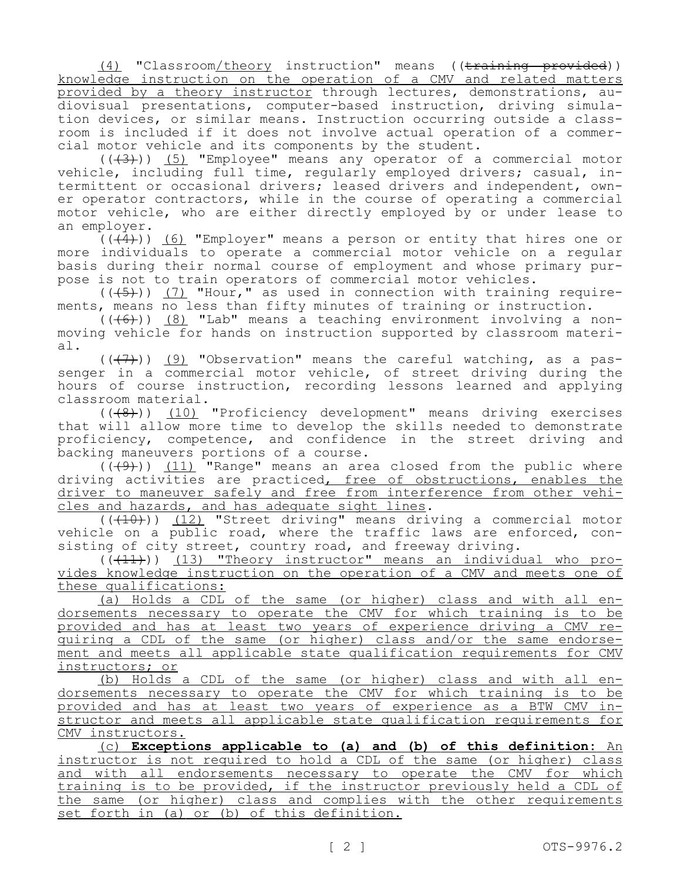(4) "Classroom/theory instruction" means ((training provided)) knowledge instruction on the operation of a CMV and related matters provided by a theory instructor through lectures, demonstrations, audiovisual presentations, computer-based instruction, driving simulation devices, or similar means. Instruction occurring outside a classroom is included if it does not involve actual operation of a commercial motor vehicle and its components by the student.

 $((+3))$  (5) "Employee" means any operator of a commercial motor vehicle, including full time, regularly employed drivers; casual, intermittent or occasional drivers; leased drivers and independent, owner operator contractors, while in the course of operating a commercial motor vehicle, who are either directly employed by or under lease to an employer.

 $((\overline{4}))$  (6) "Employer" means a person or entity that hires one or more individuals to operate a commercial motor vehicle on a regular basis during their normal course of employment and whose primary purpose is not to train operators of commercial motor vehicles.

 $((+5))$  (7) "Hour," as used in connection with training requirements, means no less than fifty minutes of training or instruction.

 $((+6))$  (8) "Lab" means a teaching environment involving a nonmoving vehicle for hands on instruction supported by classroom material.

 $((+7))$  (9) "Observation" means the careful watching, as a passenger in a commercial motor vehicle, of street driving during the hours of course instruction, recording lessons learned and applying classroom material.

 $((+8))$  (10) "Proficiency development" means driving exercises that will allow more time to develop the skills needed to demonstrate proficiency, competence, and confidence in the street driving and backing maneuvers portions of a course.

 $(\overline{(+9)})$  (11) "Range" means an area closed from the public where driving activities are practiced, free of obstructions, enables the driver to maneuver safely and free from interference from other vehicles and hazards, and has adequate sight lines.

 $((+10))$  (12) "Street driving" means driving a commercial motor vehicle on a public road, where the traffic laws are enforced, consisting of city street, country road, and freeway driving.

 $(\overline{(11)}))$  (13) "Theory instructor" means an individual who provides knowledge instruction on the operation of a CMV and meets one of these qualifications:

(a) Holds a CDL of the same (or higher) class and with all endorsements necessary to operate the CMV for which training is to be provided and has at least two years of experience driving a CMV requiring a CDL of the same (or higher) class and/or the same endorsement and meets all applicable state qualification requirements for CMV instructors; or

(b) Holds a CDL of the same (or higher) class and with all endorsements necessary to operate the CMV for which training is to be provided and has at least two years of experience as a BTW CMV instructor and meets all applicable state qualification requirements for CMV instructors.

(c) **Exceptions applicable to (a) and (b) of this definition:** An instructor is not required to hold a CDL of the same (or higher) class and with all endorsements necessary to operate the CMV for which training is to be provided, if the instructor previously held a CDL of the same (or higher) class and complies with the other requirements set forth in (a) or (b) of this definition.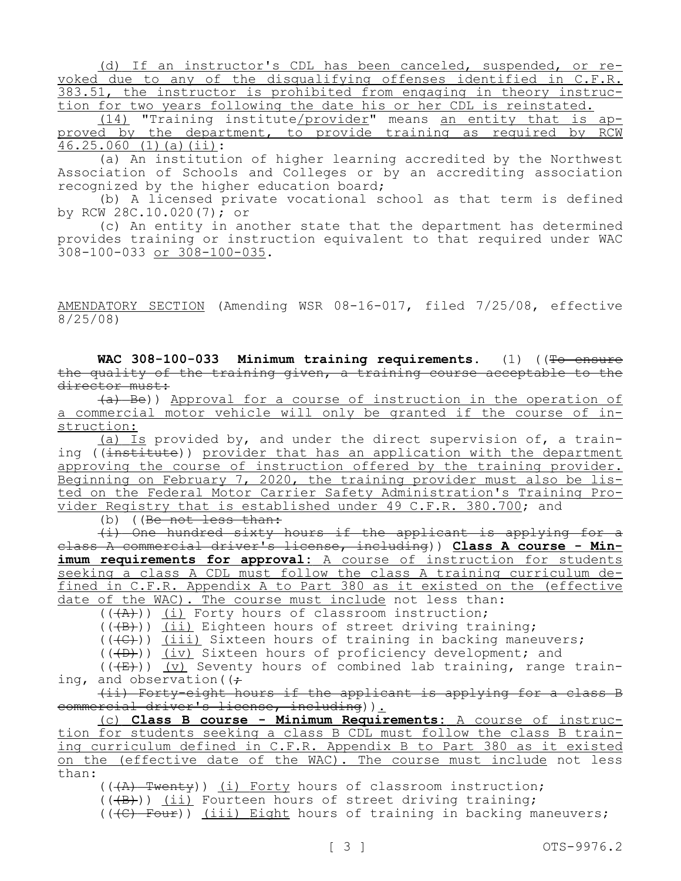(d) If an instructor's CDL has been canceled, suspended, or revoked due to any of the disqualifying offenses identified in C.F.R. 383.51, the instructor is prohibited from engaging in theory instruction for two years following the date his or her CDL is reinstated.

(14) "Training institute/provider" means an entity that is approved by the department, to provide training as required by RCM  $46.25.060$  (1)(a)(ii):

(a) An institution of higher learning accredited by the Northwest Association of Schools and Colleges or by an accrediting association recognized by the higher education board;

(b) A licensed private vocational school as that term is defined by RCW 28C.10.020(7); or

(c) An entity in another state that the department has determined provides training or instruction equivalent to that required under WAC 308-100-033 or 308-100-035.

AMENDATORY SECTION (Amending WSR 08-16-017, filed 7/25/08, effective  $8/25/08$ 

WAC 308-100-033 Minimum training requirements. (1) ((To ensure the quality of the training given, a training course acceptable to the director must:

(a) Be)) Approval for a course of instruction in the operation of a commercial motor vehicle will only be granted if the course of instruction:

(a) Is provided by, and under the direct supervision of, a training ((institute)) provider that has an application with the department approving the course of instruction offered by the training provider. Beginning on February 7, 2020, the training provider must also be listed on the Federal Motor Carrier Safety Administration's Training Provider Registry that is established under 49 C.F.R. 380.700; and

(b)  $(Be<sub>not</sub> less than:$ 

(i) One hundred sixty hours if the applicant is applying for a class A commercial driver's license, including)) **Class A course - Min**imum requirements for approval: A course of instruction for students seeking a class A CDL must follow the class A training curriculum defined in C.F.R. Appendix A to Part 380 as it existed on the (effective date of the WAC). The course must include not less than:

 $((+A))$  (i) Forty hours of classroom instruction;

 $((+B))$  (ii) Eighteen hours of street driving training;

 $((\text{+C})^{\circ})$  (iii) Sixteen hours of training in backing maneuvers;

(((D))) (iv) Sixteen hours of proficiency development; and

 $((\overline{E})$ ) (v) Seventy hours of combined lab training, range train-

ing, and observation ( $\left( \div \right)$ 

(ii) Forty-eight hours if the applicant is applying for a class B commercial driver's license, including)).

(c) **Class B course - Minimum Requirements:** A course of instruction for students seeking a class B CDL must follow the class B training curriculum defined in C.F.R. Appendix B to Part 380 as it existed on the (effective date of the WAC). The course must include not less than:

 $((\overline{A})$  Twenty)) (i) Forty hours of classroom instruction;

 $((+B))$  (ii) Fourteen hours of street driving training;

 $((\langle \Theta \rangle - \text{Four}) )$  (iii) Eight hours of training in backing maneuvers;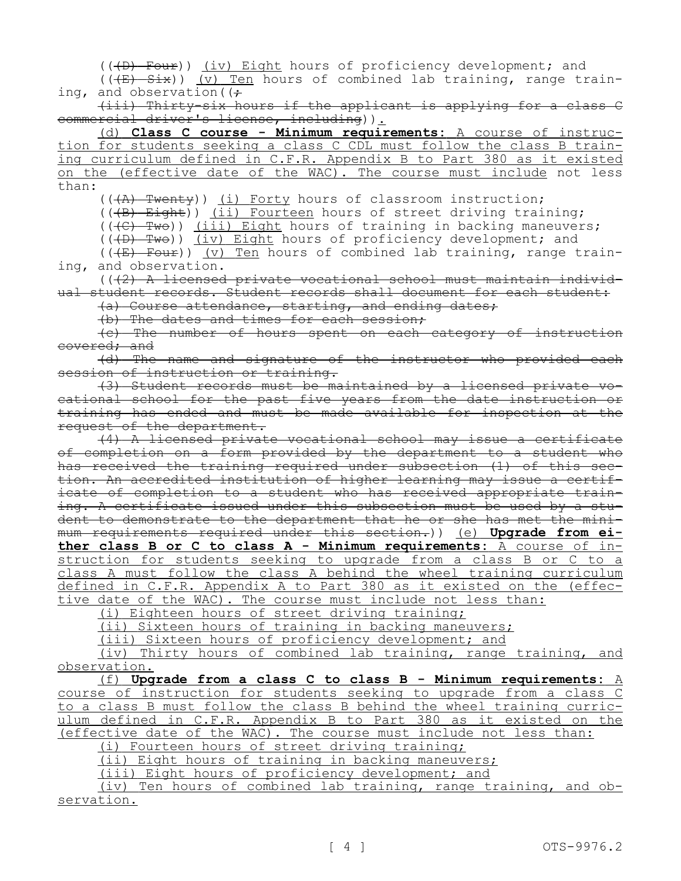(((D) Four)) (iv) Eight hours of proficiency development; and

 $((\overline{E} + \overline{S} \overline{\text{L}}))$  (v) Ten hours of combined lab training, range training, and observation ( $\left(\frac{1}{r}\right)$ 

(iii) Thirty-six hours if the applicant is applying for a class C commercial driver's license, including)).

(d) **Class C course - Minimum requirements:** A course of instruction for students seeking a class C CDL must follow the class B training curriculum defined in C.F.R. Appendix B to Part 380 as it existed on the (effective date of the WAC). The course must include not less than:

(((A) Twenty)) (i) Forty hours of classroom instruction;

(((B) Eight)) (ii) Fourteen hours of street driving training;

 $((\overline{f})\rightarrow\overline{f}$  ( $(\overline{f})\rightarrow\overline{f}$ ) (iii) Eight hours of training in backing maneuvers;

 $((+D)$  Two)) (iv) Eight hours of proficiency development; and

(( $(E)$  Four)) (v) Ten hours of combined lab training, range training, and observation.

 $((42)$  A licensed private vocational school must maintain individual student records. Student records shall document for each student:

(a) Course attendance, starting, and ending dates;

(b) The dates and times for each session;

(c) The number of hours spent on each category of instruction covered; and

(d) The name and signature of the instructor who provided each session of instruction or training.

(3) Student records must be maintained by a licensed private vocational school for the past five years from the date instruction or training has ended and must be made available for inspection at the request of the department.

(4) A licensed private vocational school may issue a certificate of completion on a form provided by the department to a student who has received the training required under subsection (1) of this section. An accredited institution of higher learning may issue a certificate of completion to a student who has received appropriate training. A certificate issued under this subsection must be used by a student to demonstrate to the department that he or she has met the minimum requirements required under this section.)) (e) **Upgrade from either class B or C to class A - Minimum requirements:** A course of instruction for students seeking to upgrade from a class B or C to a class A must follow the class A behind the wheel training curriculum defined in C.F.R. Appendix A to Part 380 as it existed on the (effec-

tive date of the WAC). The course must include not less than:

(i) Eighteen hours of street driving training;

(ii) Sixteen hours of training in backing maneuvers;

(iii) Sixteen hours of proficiency development; and

(iv) Thirty hours of combined lab training, range training, and observation.

(f) **Upgrade from a class C to class B - Minimum requirements:** A course of instruction for students seeking to upgrade from a class C to a class B must follow the class B behind the wheel training curriculum defined in C.F.R. Appendix B to Part 380 as it existed on the (effective date of the WAC). The course must include not less than:

(i) Fourteen hours of street driving training;

(ii) Eight hours of training in backing maneuvers;

(iii) Eight hours of proficiency development; and

(iv) Ten hours of combined lab training, range training, and observation.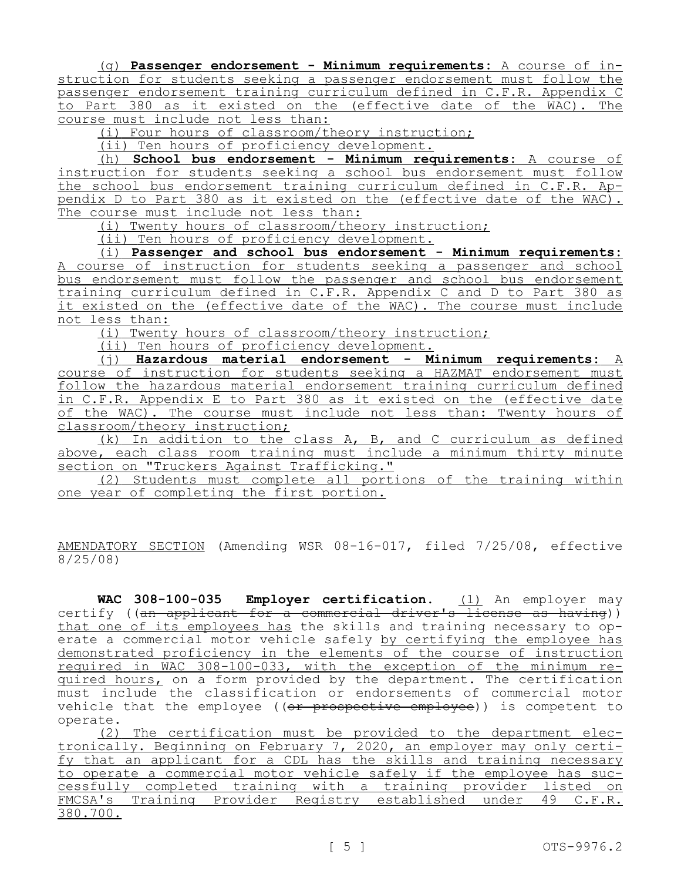(g) **Passenger endorsement - Minimum requirements:** A course of instruction for students seeking a passenger endorsement must follow the passenger endorsement training curriculum defined in C.F.R. Appendix C to Part 380 as it existed on the (effective date of the WAC). The course must include not less than:

(i) Four hours of classroom/theory instruction;

(ii) Ten hours of proficiency development.

(h) **School bus endorsement - Minimum requirements:** A course of instruction for students seeking a school bus endorsement must follow the school bus endorsement training curriculum defined in C.F.R. Appendix D to Part 380 as it existed on the (effective date of the WAC). The course must include not less than:

(i) Twenty hours of classroom/theory instruction;

(ii) Ten hours of proficiency development.

(i) **Passenger and school bus endorsement - Minimum requirements:**  A course of instruction for students seeking a passenger and school bus endorsement must follow the passenger and school bus endorsement training curriculum defined in C.F.R. Appendix C and D to Part 380 as it existed on the (effective date of the WAC). The course must include not less than:

(i) Twenty hours of classroom/theory instruction;

(ii) Ten hours of proficiency development.

(j) **Hazardous material endorsement - Minimum requirements:** A course of instruction for students seeking a HAZMAT endorsement must follow the hazardous material endorsement training curriculum defined in C.F.R. Appendix E to Part 380 as it existed on the (effective date of the WAC). The course must include not less than: Twenty hours of classroom/theory instruction;

(k) In addition to the class A, B, and C curriculum as defined above, each class room training must include a minimum thirty minute section on "Truckers Against Trafficking."

(2) Students must complete all portions of the training within one year of completing the first portion.

AMENDATORY SECTION (Amending WSR 08-16-017, filed 7/25/08, effective 8/25/08)

WAC 308-100-035 Employer certification. (1) An employer may certify ((an applicant for a commercial driver's license as having)) that one of its employees has the skills and training necessary to operate a commercial motor vehicle safely by certifying the employee has demonstrated proficiency in the elements of the course of instruction required in WAC 308-100-033, with the exception of the minimum required hours, on a form provided by the department. The certification must include the classification or endorsements of commercial motor vehicle that the employee ((or prospective employee)) is competent to operate.

(2) The certification must be provided to the department electronically. Beginning on February 7, 2020, an employer may only certify that an applicant for a CDL has the skills and training necessary to operate a commercial motor vehicle safely if the employee has successfully completed training with a training provider listed on FMCSA's Training Provider Registry established under 49 C.F.R. 380.700.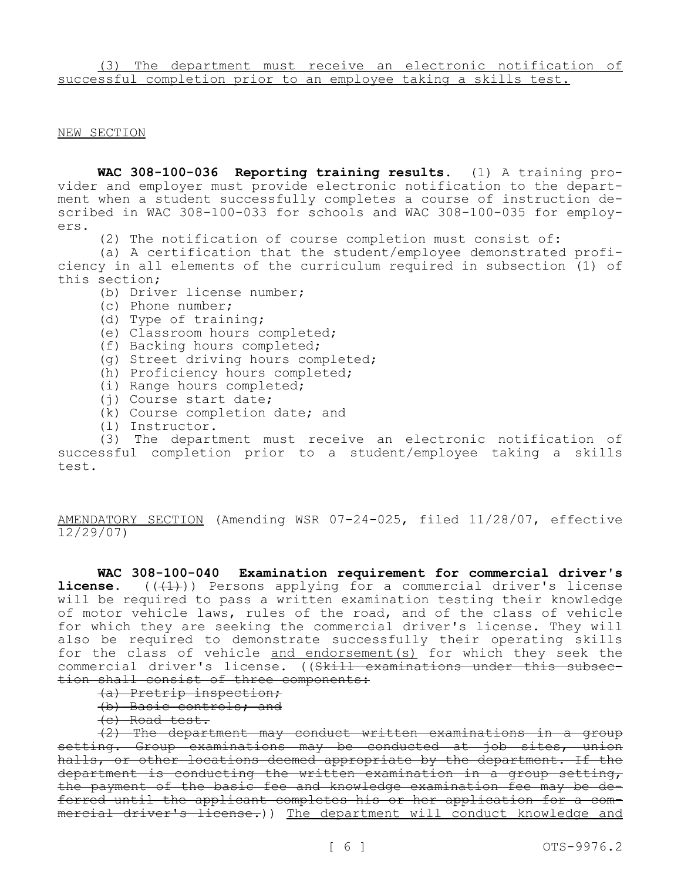## NEW SECTION

**WAC 308-100-036 Reporting training results.** (1) A training provider and employer must provide electronic notification to the department when a student successfully completes a course of instruction described in WAC 308-100-033 for schools and WAC 308-100-035 for employers.

(2) The notification of course completion must consist of:

(a) A certification that the student/employee demonstrated proficiency in all elements of the curriculum required in subsection (1) of this section;

- (b) Driver license number;
- (c) Phone number;
- (d) Type of training;
- (e) Classroom hours completed;
- (f) Backing hours completed;
- (g) Street driving hours completed;
- (h) Proficiency hours completed;
- (i) Range hours completed;
- (j) Course start date;
- (k) Course completion date; and
- (l) Instructor.

(3) The department must receive an electronic notification of successful completion prior to a student/employee taking a skills test.

AMENDATORY SECTION (Amending WSR 07-24-025, filed 11/28/07, effective 12/29/07)

**WAC 308-100-040 Examination requirement for commercial driver's license.** (( $(1)$ )) Persons applying for a commercial driver's license will be required to pass a written examination testing their knowledge of motor vehicle laws, rules of the road, and of the class of vehicle for which they are seeking the commercial driver's license. They will also be required to demonstrate successfully their operating skills for the class of vehicle and endorsement(s) for which they seek the commercial driver's license. ((Skill examinations under this subsection shall consist of three components:

- (a) Pretrip inspection;
- (b) Basic controls; and
- (c) Road test.

(2) The department may conduct written examinations in a group setting. Group examinations may be conducted at job sites, union halls, or other locations deemed appropriate by the department. If the department is conducting the written examination in a group setting, the payment of the basic fee and knowledge examination fee may be deferred until the applicant completes his or her application for a commercial driver's license.)) The department will conduct knowledge and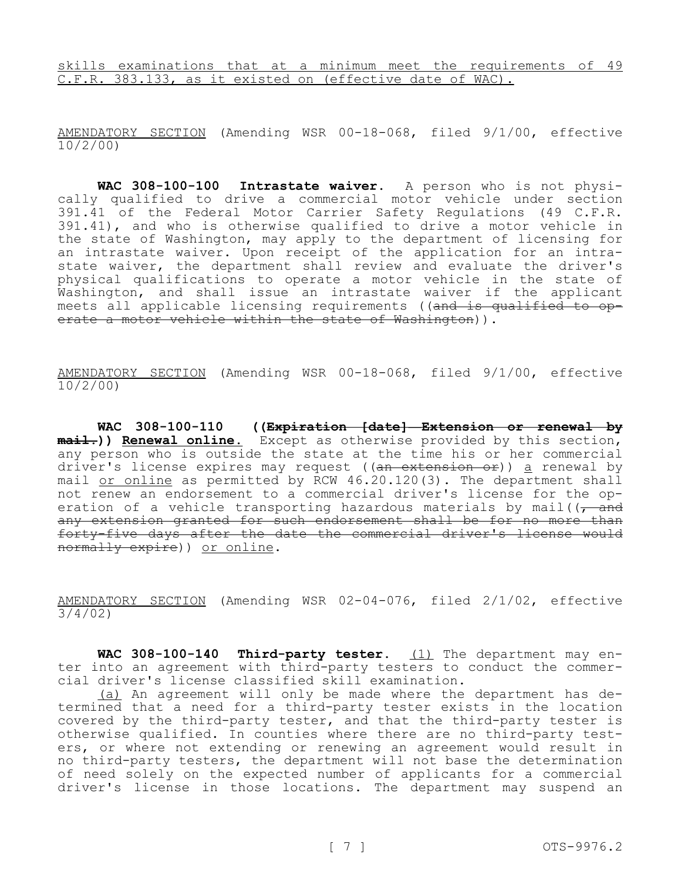skills examinations that at a minimum meet the requirements of 49 C.F.R. 383.133, as it existed on (effective date of WAC).

AMENDATORY SECTION (Amending WSR 00-18-068, filed 9/1/00, effective 10/2/00)

**WAC 308-100-100 Intrastate waiver.** A person who is not physically qualified to drive a commercial motor vehicle under section 391.41 of the Federal Motor Carrier Safety Regulations (49 C.F.R. 391.41), and who is otherwise qualified to drive a motor vehicle in the state of Washington, may apply to the department of licensing for an intrastate waiver. Upon receipt of the application for an intrastate waiver, the department shall review and evaluate the driver's physical qualifications to operate a motor vehicle in the state of Washington, and shall issue an intrastate waiver if the applicant meets all applicable licensing requirements ((<del>and is qualified to op-</del> erate a motor vehicle within the state of Washington)).

AMENDATORY SECTION (Amending WSR 00-18-068, filed 9/1/00, effective 10/2/00)

**WAC 308-100-110 ((Expiration [date]—Extension or renewal by mail.)) Renewal online.** Except as otherwise provided by this section, any person who is outside the state at the time his or her commercial driver's license expires may request ((an extension or)) a renewal by mail or online as permitted by RCW 46.20.120(3). The department shall not renew an endorsement to a commercial driver's license for the operation of a vehicle transporting hazardous materials by mail( $\sqrt{t}$  and any extension granted for such endorsement shall be for no more than forty-five days after the date the commercial driver's license would normally expire)) or online.

AMENDATORY SECTION (Amending WSR 02-04-076, filed 2/1/02, effective 3/4/02)

WAC 308-100-140 Third-party tester. (1) The department may enter into an agreement with third-party testers to conduct the commercial driver's license classified skill examination.

(a) An agreement will only be made where the department has determined that a need for a third-party tester exists in the location covered by the third-party tester, and that the third-party tester is otherwise qualified. In counties where there are no third-party testers, or where not extending or renewing an agreement would result in no third-party testers, the department will not base the determination of need solely on the expected number of applicants for a commercial driver's license in those locations. The department may suspend an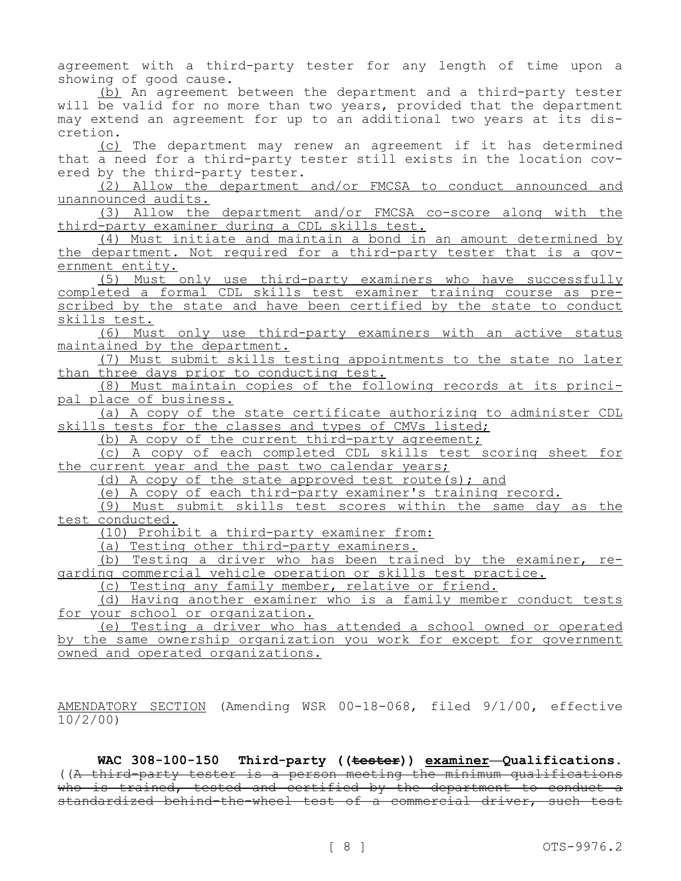agreement with a third-party tester for any length of time upon a showing of good cause.

(b) An agreement between the department and a third-party tester will be valid for no more than two years, provided that the department may extend an agreement for up to an additional two years at its discretion.

(c) The department may renew an agreement if it has determined that a need for a third-party tester still exists in the location covered by the third-party tester.

(2) Allow the department and/or FMCSA to conduct announced and unannounced audits.

(3) Allow the department and/or FMCSA co-score along with the third-party examiner during a CDL skills test.

(4) Must initiate and maintain a bond in an amount determined by the department. Not required for a third-party tester that is a government entity.

(5) Must only use third-party examiners who have successfully completed a formal CDL skills test examiner training course as prescribed by the state and have been certified by the state to conduct skills test.

(6) Must only use third-party examiners with an active status maintained by the department.

(7) Must submit skills testing appointments to the state no later than three days prior to conducting test.

(8) Must maintain copies of the following records at its principal place of business.

(a) A copy of the state certificate authorizing to administer CDL skills tests for the classes and types of CMVs listed;

(b) A copy of the current third-party agreement;

(c) A copy of each completed CDL skills test scoring sheet for the current year and the past two calendar years;

(d) A copy of the state approved test route(s); and

(e) A copy of each third-party examiner's training record.

(9) Must submit skills test scores within the same day as the test conducted.

(10) Prohibit a third-party examiner from:

(a) Testing other third-party examiners.

(b) Testing a driver who has been trained by the examiner, regarding commercial vehicle operation or skills test practice.

(c) Testing any family member, relative or friend.

(d) Having another examiner who is a family member conduct tests for your school or organization.

(e) Testing a driver who has attended a school owned or operated by the same ownership organization you work for except for government owned and operated organizations.

AMENDATORY SECTION (Amending WSR 00-18-068, filed 9/1/00, effective 10/2/00)

**WAC 308-100-150 Third-party ((tester)) examiner—Qualifications.**  ((A third-party tester is a person meeting the minimum qualifications who is trained, tested and certified by the department to conduct a standardized behind-the-wheel test of a commercial driver, such test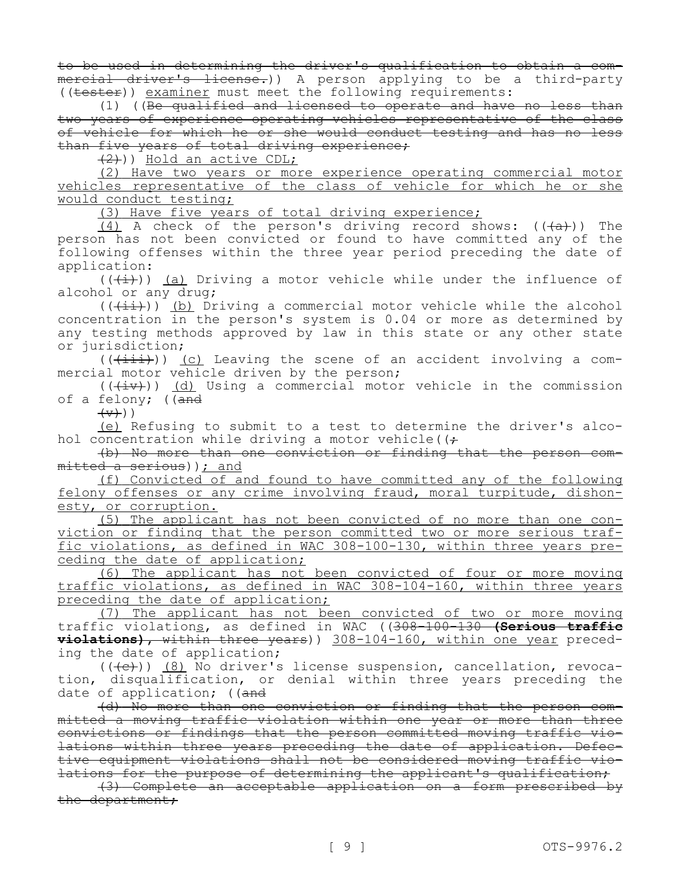to be used in determining the driver's qualification to obtain a commercial driver's license.)) A person applying to be a third-party ((tester)) examiner must meet the following requirements:

(1) ((Be qualified and licensed to operate and have no less than two years of experience operating vehicles representative of the class of vehicle for which he or she would conduct testing and has no less than five years of total driving experience;

(2))) Hold an active CDL;

(2) Have two years or more experience operating commercial motor vehicles representative of the class of vehicle for which he or she would conduct testing;

(3) Have five years of total driving experience;

(4) A check of the person's driving record shows:  $((+a))$  The person has not been convicted or found to have committed any of the following offenses within the three year period preceding the date of application:

 $((+\frac{1}{2})^n)$  (a) Driving a motor vehicle while under the influence of alcohol or any drug;

 $((+i+))$  (b) Driving a commercial motor vehicle while the alcohol concentration in the person's system is 0.04 or more as determined by any testing methods approved by law in this state or any other state or jurisdiction;

 $((+iii))$  (c) Leaving the scene of an accident involving a commercial motor vehicle driven by the person;

 $((\overline{(+i\overline{v})})$  (d) Using a commercial motor vehicle in the commission of a felony; ((and

 $(+\overline{v})$ )

(e) Refusing to submit to a test to determine the driver's alcohol concentration while driving a motor vehicle( $\left( \right. \div$ 

(b) No more than one conviction or finding that the person committed a serious)); and

(f) Convicted of and found to have committed any of the following felony offenses or any crime involving fraud, moral turpitude, dishonesty, or corruption.

(5) The applicant has not been convicted of no more than one conviction or finding that the person committed two or more serious traffic violations, as defined in WAC 308-100-130, within three years preceding the date of application;

(6) The applicant has not been convicted of four or more moving traffic violations, as defined in WAC 308-104-160, within three years preceding the date of application;

(7) The applicant has not been convicted of two or more moving traffic violations, as defined in WAC ((308-100-130 **(Serious traffic violations),** within three years)) 308-104-160, within one year preceding the date of application;

 $((+e))$  (8) No driver's license suspension, cancellation, revocation, disqualification, or denial within three years preceding the date of application; ((and

(d) No more than one conviction or finding that the person committed a moving traffic violation within one year or more than three convictions or findings that the person committed moving traffic violations within three years preceding the date of application. Defective equipment violations shall not be considered moving traffic violations for the purpose of determining the applicant's qualification;

(3) Complete an acceptable application on a form prescribed by the department;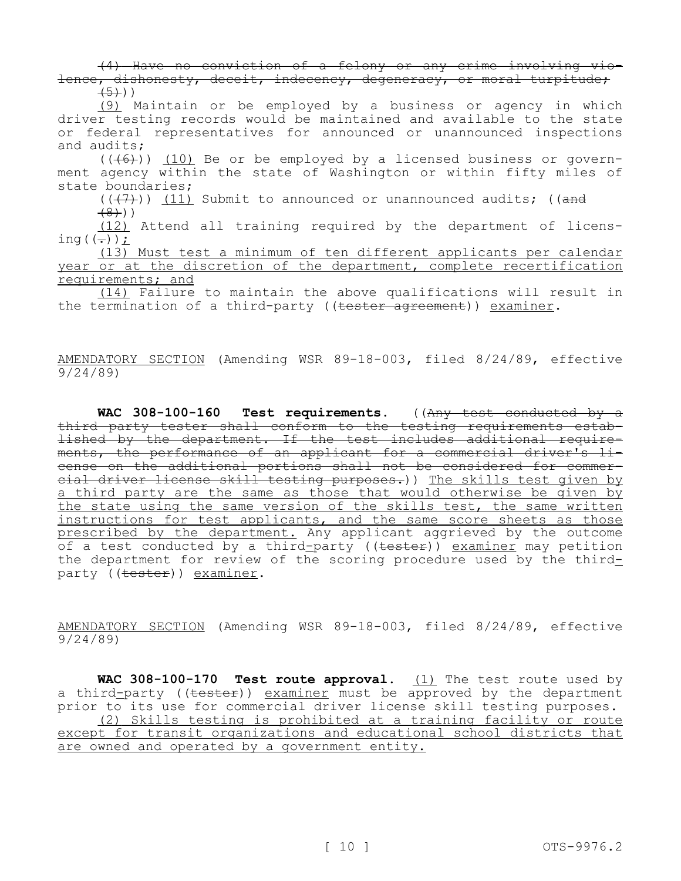(4) Have no conviction of a felony or any crime involving violence, dishonesty, deceit, indecency, degeneracy, or moral turpitude;  $(5)$ ))

(9) Maintain or be employed by a business or agency in which driver testing records would be maintained and available to the state or federal representatives for announced or unannounced inspections and audits;

 $((+6))$  (10) Be or be employed by a licensed business or government agency within the state of Washington or within fifty miles of state boundaries;

 $((+7))$  (11) Submit to announced or unannounced audits; ((and

 $(8)$ )

(12) Attend all training required by the department of licensing  $((-))$   $\dot{L}$ 

(13) Must test a minimum of ten different applicants per calendar year or at the discretion of the department, complete recertification requirements; and

(14) Failure to maintain the above qualifications will result in the termination of a third-party ((tester agreement)) examiner.

AMENDATORY SECTION (Amending WSR 89-18-003, filed 8/24/89, effective 9/24/89)

WAC 308-100-160 Test requirements. ((Any test conducted by a third party tester shall conform to the testing requirements established by the department. If the test includes additional requirements, the performance of an applicant for a commercial driver's license on the additional portions shall not be considered for commercial driver license skill testing purposes.)) The skills test given by a third party are the same as those that would otherwise be given by the state using the same version of the skills test, the same written instructions for test applicants, and the same score sheets as those prescribed by the department. Any applicant aggrieved by the outcome of a test conducted by a third-party ((<del>tester</del>)) <u>examiner</u> may petition the department for review of the scoring procedure used by the thirdparty ((tester)) examiner.

AMENDATORY SECTION (Amending WSR 89-18-003, filed 8/24/89, effective 9/24/89)

**WAC 308-100-170 Test route approval.** (1) The test route used by a third-party (( $\text{tester}$ )) examiner must be approved by the department prior to its use for commercial driver license skill testing purposes. (2) Skills testing is prohibited at a training facility or route except for transit organizations and educational school districts that are owned and operated by a government entity.